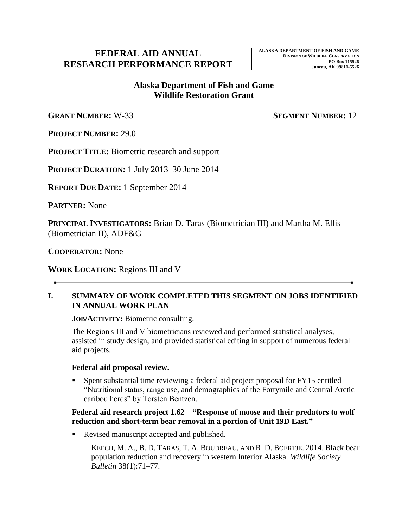# **Alaska Department of Fish and Game Wildlife Restoration Grant**

**GRANT NUMBER:** W-33 **SEGMENT NUMBER:** 12

**PROJECT NUMBER:** 29.0

**PROJECT TITLE:** Biometric research and support

**PROJECT DURATION:** 1 July 2013–30 June 2014

**REPORT DUE DATE:** 1 September 2014

**PARTNER:** None

**PRINCIPAL INVESTIGATORS:** Brian D. Taras (Biometrician III) and Martha M. Ellis (Biometrician II), ADF&G

**COOPERATOR:** None

**WORK LOCATION:** Regions III and V

#### **I. SUMMARY OF WORK COMPLETED THIS SEGMENT ON JOBS IDENTIFIED IN ANNUAL WORK PLAN**

**JOB/ACTIVITY:** Biometric consulting.

The Region's III and V biometricians reviewed and performed statistical analyses, assisted in study design, and provided statistical editing in support of numerous federal aid projects.

#### **Federal aid proposal review.**

 Spent substantial time reviewing a federal aid project proposal for FY15 entitled "Nutritional status, range use, and demographics of the Fortymile and Central Arctic caribou herds" by Torsten Bentzen.

#### **Federal aid research project 1.62 – "Response of moose and their predators to wolf reduction and short-term bear removal in a portion of Unit 19D East."**

Revised manuscript accepted and published.

KEECH, M. A., B. D. TARAS, T. A. BOUDREAU, AND R. D. BOERTJE. 2014. Black bear population reduction and recovery in western Interior Alaska. *Wildlife Society Bulletin* 38(1):71–77.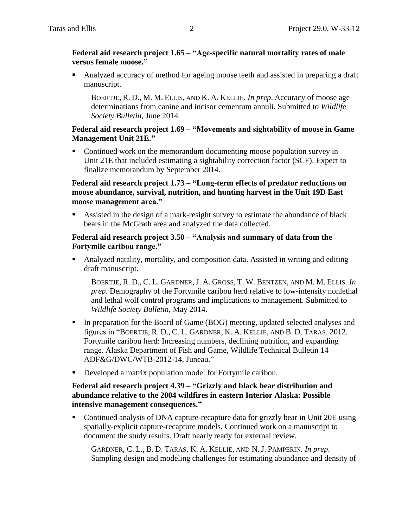#### **Federal aid research project 1.65 – "Age-specific natural mortality rates of male versus female moose."**

 Analyzed accuracy of method for ageing moose teeth and assisted in preparing a draft manuscript.

BOERTJE, R. D., M. M. ELLIS, AND K. A. KELLIE. *In prep*. Accuracy of moose age determinations from canine and incisor cementum annuli. Submitted to *Wildlife Society Bulletin*, June 2014*.*

#### **Federal aid research project 1.69 – "Movements and sightability of moose in Game Management Unit 21E."**

 Continued work on the memorandum documenting moose population survey in Unit 21E that included estimating a sightability correction factor (SCF). Expect to finalize memorandum by September 2014.

#### **Federal aid research project 1.73 – "Long-term effects of predator reductions on moose abundance, survival, nutrition, and hunting harvest in the Unit 19D East moose management area."**

 Assisted in the design of a mark-resight survey to estimate the abundance of black bears in the McGrath area and analyzed the data collected.

#### **Federal aid research project 3.50 – "Analysis and summary of data from the Fortymile caribou range."**

 Analyzed natality, mortality, and composition data. Assisted in writing and editing draft manuscript.

BOERTJE, R. D., C. L. GARDNER, J. A. GROSS, T. W. BENTZEN, AND M. M. ELLIS. *In prep*. Demography of the Fortymile caribou herd relative to low-intensity nonlethal and lethal wolf control programs and implications to management. Submitted to *Wildlife Society Bulletin*, May 2014.

- In preparation for the Board of Game (BOG) meeting, updated selected analyses and figures in "BOERTJE, R. D., C. L. GARDNER, K. A. KELLIE, AND B. D. TARAS. 2012. Fortymile caribou herd: Increasing numbers, declining nutrition, and expanding range. Alaska Department of Fish and Game, Wildlife Technical Bulletin 14 ADF&G/DWC/WTB-2012-14, Juneau."
- Developed a matrix population model for Fortymile caribou.

### **Federal aid research project 4.39 – "Grizzly and black bear distribution and abundance relative to the 2004 wildfires in eastern Interior Alaska: Possible intensive management consequences."**

 Continued analysis of DNA capture-recapture data for grizzly bear in Unit 20E using spatially-explicit capture-recapture models. Continued work on a manuscript to document the study results. Draft nearly ready for external review.

GARDNER, C. L., B. D. TARAS, K. A. KELLIE, AND N. J. PAMPERIN. *In prep*. Sampling design and modeling challenges for estimating abundance and density of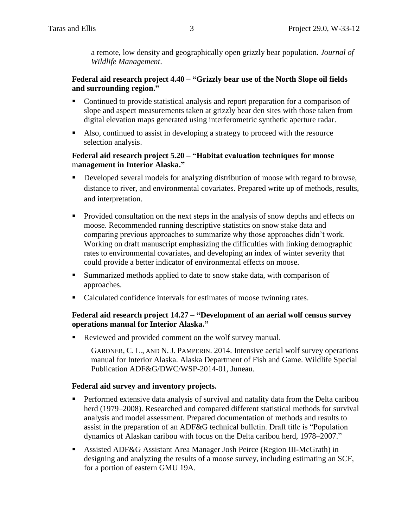a remote, low density and geographically open grizzly bear population. *Journal of Wildlife Management*.

# **Federal aid research project 4.40 – "Grizzly bear use of the North Slope oil fields and surrounding region."**

- Continued to provide statistical analysis and report preparation for a comparison of slope and aspect measurements taken at grizzly bear den sites with those taken from digital elevation maps generated using interferometric synthetic aperture radar.
- Also, continued to assist in developing a strategy to proceed with the resource selection analysis.

### **Federal aid research project 5.20 – "Habitat evaluation techniques for moose** m**anagement in Interior Alaska."**

- Developed several models for analyzing distribution of moose with regard to browse, distance to river, and environmental covariates. Prepared write up of methods, results, and interpretation.
- **Provided consultation on the next steps in the analysis of snow depths and effects on** moose. Recommended running descriptive statistics on snow stake data and comparing previous approaches to summarize why those approaches didn't work. Working on draft manuscript emphasizing the difficulties with linking demographic rates to environmental covariates, and developing an index of winter severity that could provide a better indicator of environmental effects on moose.
- Summarized methods applied to date to snow stake data, with comparison of approaches.
- Calculated confidence intervals for estimates of moose twinning rates.

# **Federal aid research project 14.27 – "Development of an aerial wolf census survey operations manual for Interior Alaska."**

Reviewed and provided comment on the wolf survey manual.

GARDNER, C. L., AND N. J. PAMPERIN. 2014. Intensive aerial wolf survey operations manual for Interior Alaska. Alaska Department of Fish and Game. Wildlife Special Publication ADF&G/DWC/WSP-2014-01, Juneau.

# **Federal aid survey and inventory projects.**

- **Performed extensive data analysis of survival and natality data from the Delta caribou** herd (1979–2008). Researched and compared different statistical methods for survival analysis and model assessment. Prepared documentation of methods and results to assist in the preparation of an ADF&G technical bulletin. Draft title is "Population dynamics of Alaskan caribou with focus on the Delta caribou herd, 1978–2007."
- Assisted ADF&G Assistant Area Manager Josh Peirce (Region III-McGrath) in designing and analyzing the results of a moose survey, including estimating an SCF, for a portion of eastern GMU 19A.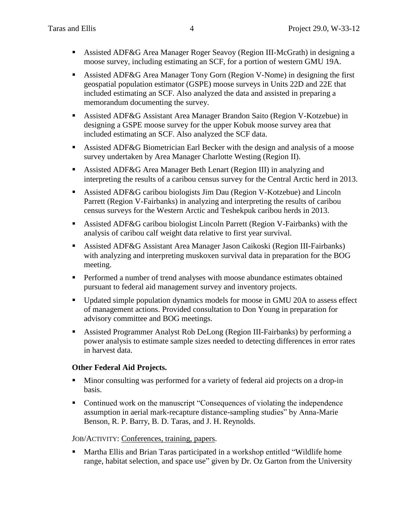- Assisted ADF&G Area Manager Roger Seavoy (Region III-McGrath) in designing a moose survey, including estimating an SCF, for a portion of western GMU 19A.
- Assisted ADF&G Area Manager Tony Gorn (Region V-Nome) in designing the first geospatial population estimator (GSPE) moose surveys in Units 22D and 22E that included estimating an SCF. Also analyzed the data and assisted in preparing a memorandum documenting the survey.
- Assisted ADF&G Assistant Area Manager Brandon Saito (Region V-Kotzebue) in designing a GSPE moose survey for the upper Kobuk moose survey area that included estimating an SCF. Also analyzed the SCF data.
- Assisted ADF&G Biometrician Earl Becker with the design and analysis of a moose survey undertaken by Area Manager Charlotte Westing (Region II).
- Assisted ADF&G Area Manager Beth Lenart (Region III) in analyzing and interpreting the results of a caribou census survey for the Central Arctic herd in 2013.
- Assisted ADF&G caribou biologists Jim Dau (Region V-Kotzebue) and Lincoln Parrett (Region V-Fairbanks) in analyzing and interpreting the results of caribou census surveys for the Western Arctic and Teshekpuk caribou herds in 2013.
- Assisted ADF&G caribou biologist Lincoln Parrett (Region V-Fairbanks) with the analysis of caribou calf weight data relative to first year survival.
- Assisted ADF&G Assistant Area Manager Jason Caikoski (Region III-Fairbanks) with analyzing and interpreting muskoxen survival data in preparation for the BOG meeting.
- Performed a number of trend analyses with moose abundance estimates obtained pursuant to federal aid management survey and inventory projects.
- Updated simple population dynamics models for moose in GMU 20A to assess effect of management actions. Provided consultation to Don Young in preparation for advisory committee and BOG meetings.
- Assisted Programmer Analyst Rob DeLong (Region III-Fairbanks) by performing a power analysis to estimate sample sizes needed to detecting differences in error rates in harvest data.

# **Other Federal Aid Projects.**

- Minor consulting was performed for a variety of federal aid projects on a drop-in basis.
- Continued work on the manuscript "Consequences of violating the independence assumption in aerial mark-recapture distance-sampling studies" by Anna-Marie Benson, R. P. Barry, B. D. Taras, and J. H. Reynolds.

# JOB/ACTIVITY: Conferences, training, papers.

 Martha Ellis and Brian Taras participated in a workshop entitled "Wildlife home range, habitat selection, and space use" given by Dr. Oz Garton from the University